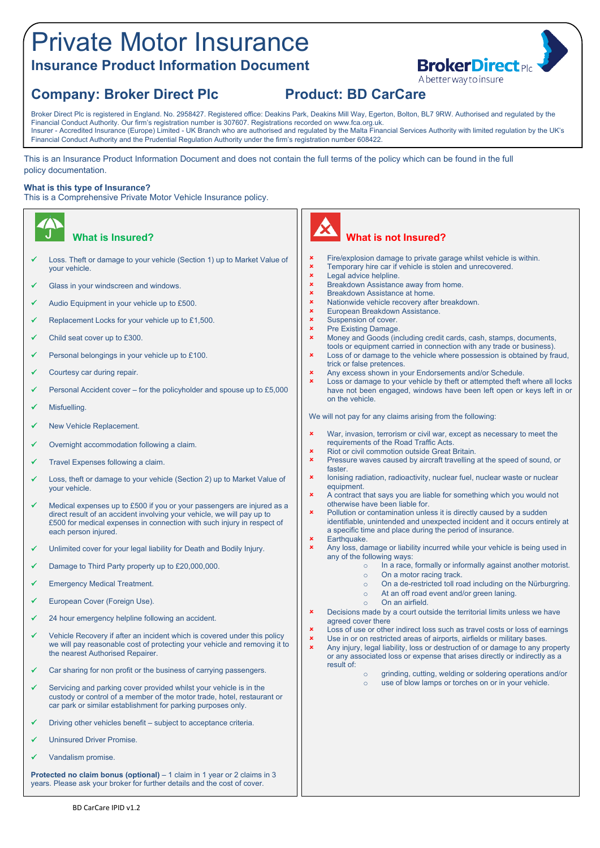# Private Motor Insurance **Insurance Product Information Document**

# **Company: Broker Direct Plc Product: BD CarCare**

Broker Direct Plc is registered in England. No. 2958427. Registered office: Deakins Park, Deakins Mill Way, Egerton, Bolton, BL7 9RW. Authorised and regulated by the Financial Conduct Authority. Our firm's registration number is 307607. Registrations recorded on www.fca.org.uk. Insurer - Accredited Insurance (Europe) Limited - UK Branch who are authorised and regulated by the Malta Financial Services Authority with limited regulation by the UK's Financial Conduct Authority and the Prudential Regulation Authority under the firm's registration number 608422.

This is an Insurance Product Information Document and does not contain the full terms of the policy which can be found in the full policy documentation.

#### **What is this type of Insurance?**

This is a Comprehensive Private Motor Vehicle Insurance policy.

### **What is Insured?**

- Loss. Theft or damage to your vehicle (Section 1) up to Market Value of your vehicle.
- Glass in your windscreen and windows.
- Audio Equipment in your vehicle up to £500.
- Replacement Locks for your vehicle up to £1,500.
- Child seat cover up to £300.
- Personal belongings in your vehicle up to £100.
- Courtesy car during repair.
- Personal Accident cover for the policyholder and spouse up to £5,000
- Misfuelling.
- New Vehicle Replacement.
- Overnight accommodation following a claim.
- Travel Expenses following a claim.
- Loss, theft or damage to your vehicle (Section 2) up to Market Value of your vehicle.
- Medical expenses up to £500 if you or your passengers are injured as a direct result of an accident involving your vehicle, we will pay up to £500 for medical expenses in connection with such injury in respect of each person injured.
- Unlimited cover for your legal liability for Death and Bodily Injury.
- Damage to Third Party property up to £20,000,000.
- Emergency Medical Treatment.
- European Cover (Foreign Use).
- 24 hour emergency helpline following an accident.
- Vehicle Recovery if after an incident which is covered under this policy we will pay reasonable cost of protecting your vehicle and removing it to the nearest Authorised Repairer.
- Car sharing for non profit or the business of carrying passengers.
- Servicing and parking cover provided whilst your vehicle is in the custody or control of a member of the motor trade, hotel, restaurant or car park or similar establishment for parking purposes only.
- Driving other vehicles benefit subject to acceptance criteria.
- Uninsured Driver Promise.
- Vandalism promise.

**Protected no claim bonus (optional)** – 1 claim in 1 year or 2 claims in 3 years. Please ask your broker for further details and the cost of cover.



## **What is not Insured?**

- Fire/explosion damage to private garage whilst vehicle is within.
- **\*** Temporary hire car if vehicle is stolen and unrecovered.
- **\*** Legal advice helpline.
- **x** Breakdown Assistance away from home.<br> **REAR BREAKDOWN Assistance at home**
- **x** Breakdown Assistance at home
- Nationwide vehicle recovery after breakdown. European Breakdown Assistance.
- Suspension of cover.
- 
- $\begin{array}{cc} \mathbf{x} & \mathsf{Pre} \end{array}$  Existing Damage.<br>  $\begin{array}{cc} \mathbf{x} & \mathsf{Monev} \end{array}$  and Goods (in Money and Goods (including credit cards, cash, stamps, documents, tools or equipment carried in connection with any trade or business).
- **x** Loss of or damage to the vehicle where possession is obtained by fraud, trick or false pretences.
- Any excess shown in your Endorsements and/or Schedule.
- Loss or damage to your vehicle by theft or attempted theft where all locks have not been engaged, windows have been left open or keys left in or on the vehicle.

We will not pay for any claims arising from the following:

- **x** War, invasion, terrorism or civil war, except as necessary to meet the requirements of the Road Traffic Acts.
- **\*** Riot or civil commotion outside Great Britain.
- **x** Pressure waves caused by aircraft travelling at the speed of sound, or faster.
- Ionising radiation, radioactivity, nuclear fuel, nuclear waste or nuclear equipment.
- A contract that says you are liable for something which you would not otherwise have been liable for.
- Pollution or contamination unless it is directly caused by a sudden identifiable, unintended and unexpected incident and it occurs entirely at a specific time and place during the period of insurance.
- **x** Earthquake.
- **x** Any loss, damage or liability incurred while your vehicle is being used in any of the following ways:
	- o In a race, formally or informally against another motorist.
	- o On a motor racing track.
	- o On a de-restricted toll road including on the Nürburgring.
	- o At an off road event and/or green laning.
	- o On an airfield.
- **\*** Decisions made by a court outside the territorial limits unless we have agreed cover there
- Loss of use or other indirect loss such as travel costs or loss of earnings **x** Use in or on restricted areas of airports, airfields or military bases.
- Any injury, legal liability, loss or destruction of or damage to any property or any associated loss or expense that arises directly or indirectly as a result of:
	- o grinding, cutting, welding or soldering operations and/or o use of blow lamps or torches on or in your vehicle.

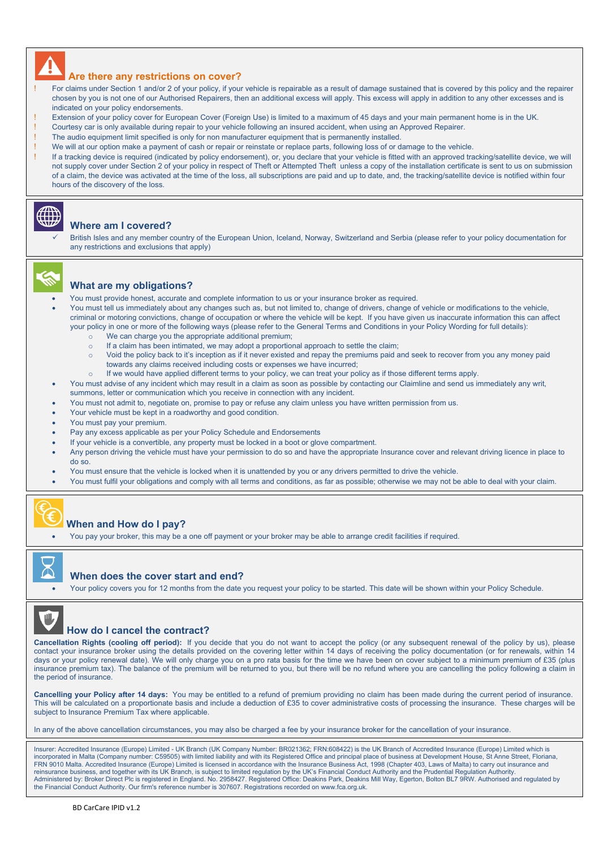

#### **Are there any restrictions on cover?**

- For claims under Section 1 and/or 2 of your policy, if your vehicle is repairable as a result of damage sustained that is covered by this policy and the repairer chosen by you is not one of our Authorised Repairers, then an additional excess will apply. This excess will apply in addition to any other excesses and is indicated on your policy endorsements.
- Extension of your policy cover for European Cover (Foreign Use) is limited to a maximum of 45 days and your main permanent home is in the UK.
- ! Courtesy car is only available during repair to your vehicle following an insured accident, when using an Approved Repairer.
- The audio equipment limit specified is only for non manufacturer equipment that is permanently installed.
- We will at our option make a payment of cash or repair or reinstate or replace parts, following loss of or damage to the vehicle.
- If a tracking device is required (indicated by policy endorsement), or, you declare that your vehicle is fitted with an approved tracking/satellite device, we will not supply cover under Section 2 of your policy in respect of Theft or Attempted Theft unless a copy of the installation certificate is sent to us on submission of a claim, the device was activated at the time of the loss, all subscriptions are paid and up to date, and, the tracking/satellite device is notified within four hours of the discovery of the loss.

#### **Where am I covered?**

 British Isles and any member country of the European Union, Iceland, Norway, Switzerland and Serbia (please refer to your policy documentation for any restrictions and exclusions that apply)



#### **What are my obligations?**

- You must provide honest, accurate and complete information to us or your insurance broker as required.
- You must tell us immediately about any changes such as, but not limited to, change of drivers, change of vehicle or modifications to the vehicle, criminal or motoring convictions, change of occupation or where the vehicle will be kept. If you have given us inaccurate information this can affect your policy in one or more of the following ways (please refer to the General Terms and Conditions in your Policy Wording for full details):
	- o We can charge you the appropriate additional premium;
	- $\circ$  If a claim has been intimated, we may adopt a proportional approach to settle the claim;
	- o Void the policy back to it's inception as if it never existed and repay the premiums paid and seek to recover from you any money paid towards any claims received including costs or expenses we have incurred;
	- o If we would have applied different terms to your policy, we can treat your policy as if those different terms apply.
	- You must advise of any incident which may result in a claim as soon as possible by contacting our Claimline and send us immediately any writ, summons, letter or communication which you receive in connection with any incident.
- You must not admit to, negotiate on, promise to pay or refuse any claim unless you have written permission from us.
- Your vehicle must be kept in a roadworthy and good condition.
- You must pay your premium.
- Pay any excess applicable as per your Policy Schedule and Endorsements
- If your vehicle is a convertible, any property must be locked in a boot or glove compartment.
- Any person driving the vehicle must have your permission to do so and have the appropriate Insurance cover and relevant driving licence in place to do so.
- You must ensure that the vehicle is locked when it is unattended by you or any drivers permitted to drive the vehicle.
- You must fulfil your obligations and comply with all terms and conditions, as far as possible; otherwise we may not be able to deal with your claim.



### **When and How do I pay?**

You pay your broker, this may be a one off payment or your broker may be able to arrange credit facilities if required.



#### **When does the cover start and end?**

Your policy covers you for 12 months from the date you request your policy to be started. This date will be shown within your Policy Schedule.



#### **How do I cancel the contract?**

**Cancellation Rights (cooling off period):** If you decide that you do not want to accept the policy (or any subsequent renewal of the policy by us), please contact your insurance broker using the details provided on the covering letter within 14 days of receiving the policy documentation (or for renewals, within 14 days or your policy renewal date). We will only charge you on a pro rata basis for the time we have been on cover subject to a minimum premium of £35 (plus insurance premium tax). The balance of the premium will be returned to you, but there will be no refund where you are cancelling the policy following a claim in the period of insurance

**Cancelling your Policy after 14 days:** You may be entitled to a refund of premium providing no claim has been made during the current period of insurance. This will be calculated on a proportionate basis and include a deduction of £35 to cover administrative costs of processing the insurance. These charges will be subject to Insurance Premium Tax where applicable.

In any of the above cancellation circumstances, you may also be charged a fee by your insurance broker for the cancellation of your insurance.

Insurer: Accredited Insurance (Europe) Limited - UK Branch (UK Company Number: BR021362; FRN:608422) is the UK Branch of Accredited Insurance (Europe) Limited which is incorporated in Malta (Company number: C59505) with limited liability and with its Registered Office and principal place of business at Development House, St Anne Street, Floriana,<br>FRN 9010 Malta. Accredited Insurance (Eur reinsurance business, and together with its UK Branch, is subject to limited regulation by the UK's Financial Conduct Authority and the Prudential Regulation Authority. Administered by: Broker Direct Plc is registered in England. No. 2958427. Registered Office: Deakins Park, Deakins Mill Way, Egerton, Bolton BL7 9RW. Authorised and regulated by the Financial Conduct Authority. Our firm's reference number is 307607. Registrations recorded on [www.fca.org.uk.](http://www.fca.org.uk/)